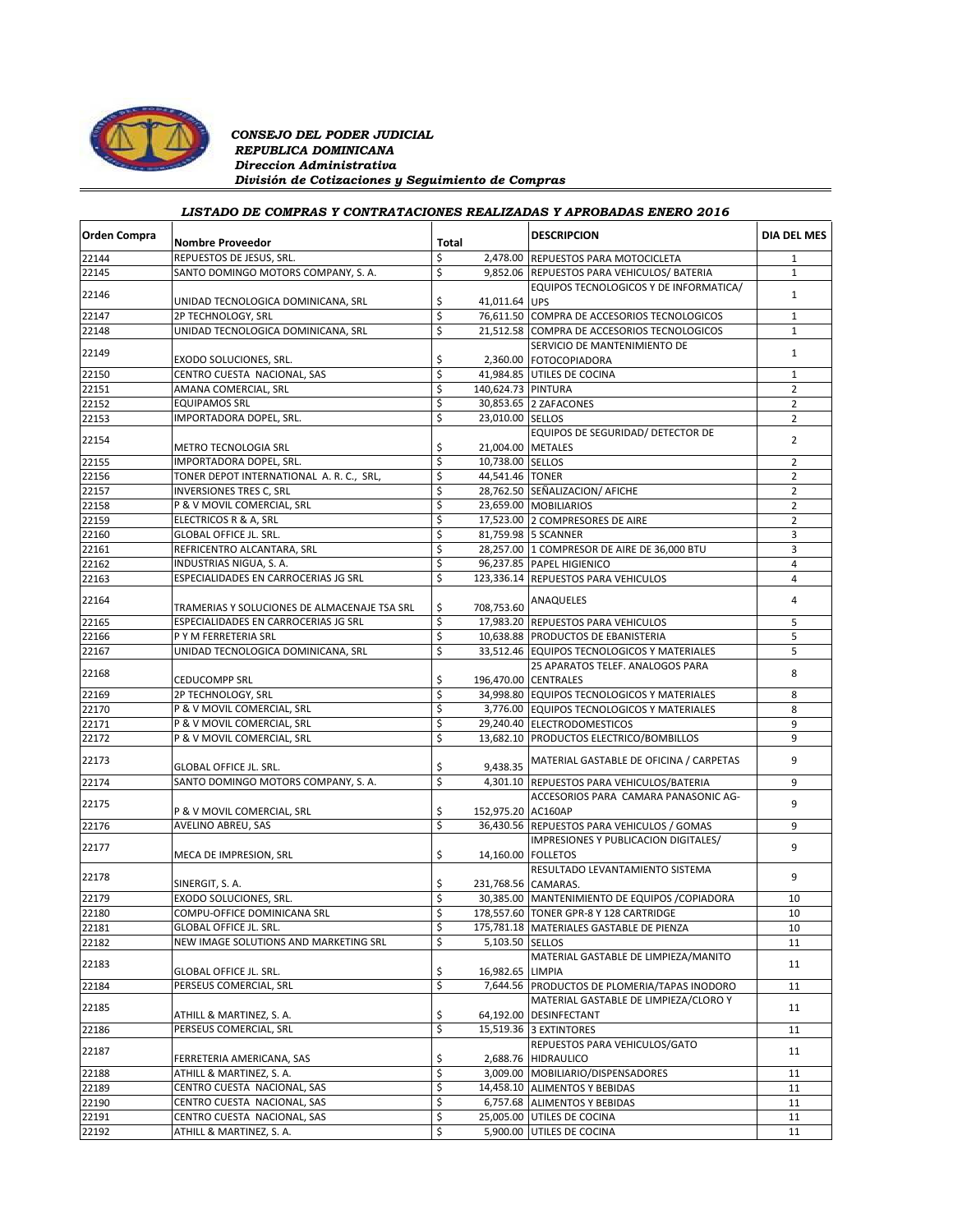

### *CONSEJO DEL PODER JUDICIAL REPUBLICA DOMINICANA Direccion Administrativa División de Cotizaciones y Seguimiento de Compras*

# *LISTADO DE COMPRAS Y CONTRATACIONES REALIZADAS Y APROBADAS ENERO 2016*

| <b>Orden Compra</b> | <b>Nombre Proveedor</b>                                  | Total           |                      | <b>DESCRIPCION</b>                                       | <b>DIA DEL MES</b> |
|---------------------|----------------------------------------------------------|-----------------|----------------------|----------------------------------------------------------|--------------------|
| 22144               | REPUESTOS DE JESUS. SRL.                                 | \$              |                      | 2,478.00 REPUESTOS PARA MOTOCICLETA                      | $\mathbf{1}$       |
| 22145               | SANTO DOMINGO MOTORS COMPANY, S. A.                      | \$              |                      | 9,852.06 REPUESTOS PARA VEHICULOS/ BATERIA               | 1                  |
| 22146               |                                                          |                 |                      | EQUIPOS TECNOLOGICOS Y DE INFORMATICA/                   | $\mathbf{1}$       |
| 22147               | UNIDAD TECNOLOGICA DOMINICANA, SRL<br>2P TECHNOLOGY, SRL | \$<br>\$        | 41,011.64 UPS        | 76,611.50 COMPRA DE ACCESORIOS TECNOLOGICOS              | $\mathbf{1}$       |
|                     | UNIDAD TECNOLOGICA DOMINICANA, SRL                       | \$              |                      | 21,512.58 COMPRA DE ACCESORIOS TECNOLOGICOS              | $\mathbf{1}$       |
| 22148               |                                                          |                 |                      |                                                          |                    |
| 22149               | EXODO SOLUCIONES, SRL.                                   | \$              |                      | SERVICIO DE MANTENIMIENTO DE<br>2,360.00 FOTOCOPIADORA   | $\mathbf{1}$       |
| 22150               | CENTRO CUESTA NACIONAL, SAS                              | \$              |                      | 41,984.85 UTILES DE COCINA                               | $1\,$              |
| 22151               | AMANA COMERCIAL, SRL                                     | \$              | 140,624.73 PINTURA   |                                                          | $\overline{2}$     |
| 22152               | <b>EQUIPAMOS SRL</b>                                     | \$              |                      | 30,853.65 2 ZAFACONES                                    | $\overline{2}$     |
| 22153               | IMPORTADORA DOPEL, SRL.                                  | \$              | 23,010.00 SELLOS     |                                                          | $\overline{2}$     |
| 22154               |                                                          |                 |                      | EQUIPOS DE SEGURIDAD/ DETECTOR DE                        | $\overline{2}$     |
|                     | METRO TECNOLOGIA SRL                                     | \$              | 21,004.00 METALES    |                                                          |                    |
| 22155               | IMPORTADORA DOPEL, SRL.                                  | \$              | 10,738.00 SELLOS     |                                                          | $\overline{2}$     |
| 22156               | TONER DEPOT INTERNATIONAL A. R. C., SRL,                 | \$              | 44,541.46 TONER      |                                                          | $\overline{2}$     |
| 22157               | <b>INVERSIONES TRES C, SRL</b>                           | \$              |                      | 28,762.50 SEÑALIZACION/ AFICHE                           | $\overline{2}$     |
| 22158               | P & V MOVIL COMERCIAL, SRL                               | \$              |                      | 23,659.00 MOBILIARIOS                                    | $\overline{2}$     |
| 22159               | ELECTRICOS R & A, SRL                                    | \$              |                      | 17,523.00 2 COMPRESORES DE AIRE                          | $\overline{2}$     |
| 22160               | <b>GLOBAL OFFICE JL. SRL.</b>                            | \$              |                      | 81,759.98 5 SCANNER                                      | 3                  |
| 22161               | REFRICENTRO ALCANTARA, SRL                               | \$              |                      | 28,257.00 1 COMPRESOR DE AIRE DE 36,000 BTU              | 3                  |
| 22162               | INDUSTRIAS NIGUA, S. A.                                  | \$              |                      | 96,237.85 PAPEL HIGIENICO                                | 4                  |
| 22163               | ESPECIALIDADES EN CARROCERIAS JG SRL                     | \$              |                      | 123.336.14 REPUESTOS PARA VEHICULOS                      | 4                  |
| 22164               | TRAMERIAS Y SOLUCIONES DE ALMACENAJE TSA SRL             | \$              | 708,753.60           | ANAQUELES                                                | $\overline{4}$     |
| 22165               |                                                          |                 |                      | 17.983.20 REPUESTOS PARA VEHICULOS                       | 5                  |
|                     | ESPECIALIDADES EN CARROCERIAS JG SRL                     | \$              |                      |                                                          |                    |
| 22166               | P Y M FERRETERIA SRL                                     | \$              |                      | 10,638.88 PRODUCTOS DE EBANISTERIA                       | 5                  |
| 22167               | UNIDAD TECNOLOGICA DOMINICANA, SRL                       | \$              |                      | 33,512.46 EQUIPOS TECNOLOGICOS Y MATERIALES              | 5                  |
| 22168               | <b>CEDUCOMPP SRL</b>                                     | \$              |                      | 25 APARATOS TELEF. ANALOGOS PARA<br>196,470.00 CENTRALES | 8                  |
| 22169               | 2P TECHNOLOGY, SRL                                       | \$              |                      | 34,998.80 EQUIPOS TECNOLOGICOS Y MATERIALES              | 8                  |
| 22170               | P & V MOVIL COMERCIAL, SRL                               | \$              |                      | 3,776.00 EQUIPOS TECNOLOGICOS Y MATERIALES               | 8                  |
| 22171               | P & V MOVIL COMERCIAL, SRL                               | \$              |                      | 29,240.40 ELECTRODOMESTICOS                              | 9                  |
| 22172               | P & V MOVIL COMERCIAL, SRL                               | \$              |                      | 13,682.10 PRODUCTOS ELECTRICO/BOMBILLOS                  | 9                  |
| 22173               |                                                          |                 |                      | MATERIAL GASTABLE DE OFICINA / CARPETAS                  | 9                  |
|                     | GLOBAL OFFICE JL. SRL.                                   | \$              | 9,438.35             |                                                          |                    |
| 22174               | SANTO DOMINGO MOTORS COMPANY, S. A.                      | \$              | 4,301.10             | REPUESTOS PARA VEHICULOS/BATERIA                         | 9                  |
| 22175               | P & V MOVIL COMERCIAL, SRL                               | \$              | 152,975.20 AC160AP   | ACCESORIOS PARA CAMARA PANASONIC AG-                     | 9                  |
|                     |                                                          | \$              |                      |                                                          | 9                  |
| 22176               | AVELINO ABREU, SAS                                       |                 |                      | 36,430.56 REPUESTOS PARA VEHICULOS / GOMAS               |                    |
| 22177               | MECA DE IMPRESION, SRL                                   | \$              | 14,160.00   FOLLETOS | IMPRESIONES Y PUBLICACION DIGITALES/                     | 9                  |
|                     |                                                          |                 |                      | RESULTADO LEVANTAMIENTO SISTEMA                          |                    |
| 22178               | SINERGIT, S.A.                                           | \$              | 231,768.56 CAMARAS.  |                                                          | 9                  |
| 22179               | EXODO SOLUCIONES, SRL.                                   | \$              |                      | 30,385.00 MANTENIMIENTO DE EQUIPOS / COPIADORA           | 10                 |
| 22180               | COMPU-OFFICE DOMINICANA SRL                              | \$              |                      | 178,557.60 TONER GPR-8 Y 128 CARTRIDGE                   | 10                 |
| 22181               | GLOBAL OFFICE JL. SRL.                                   | <sup>&gt;</sup> |                      | 175,781.18   MATERIALES GASTABLE DE PIENZA               | 10                 |
| 22182               | NEW IMAGE SOLUTIONS AND MARKETING SRL                    | \$              | 5,103.50 SELLOS      |                                                          | 11                 |
| 22183               |                                                          |                 |                      | MATERIAL GASTABLE DE LIMPIEZA/MANITO                     | 11                 |
|                     | <b>GLOBAL OFFICE JL. SRL.</b><br>PERSEUS COMERCIAL, SRL  | \$<br>\$        | 16,982.65 LIMPIA     |                                                          |                    |
| 22184               |                                                          |                 | 7,644.56             | PRODUCTOS DE PLOMERIA/TAPAS INODORO                      | 11                 |
| 22185               |                                                          |                 |                      | MATERIAL GASTABLE DE LIMPIEZA/CLORO Y                    | 11                 |
|                     | ATHILL & MARTINEZ, S. A.                                 | \$              | 64,192.00            | DESINFECTANT                                             |                    |
| 22186               | PERSEUS COMERCIAL, SRL                                   | \$              |                      | 15,519.36 3 EXTINTORES                                   | 11                 |
| 22187               | FERRETERIA AMERICANA, SAS                                | \$              |                      | REPUESTOS PARA VEHICULOS/GATO<br>2,688.76 HIDRAULICO     | 11                 |
| 22188               | ATHILL & MARTINEZ, S. A.                                 | \$              |                      | 3,009.00 MOBILIARIO/DISPENSADORES                        | 11                 |
| 22189               | CENTRO CUESTA NACIONAL, SAS                              | \$              |                      | 14,458.10 ALIMENTOS Y BEBIDAS                            | 11                 |
| 22190               | CENTRO CUESTA NACIONAL, SAS                              | \$              |                      | 6,757.68 ALIMENTOS Y BEBIDAS                             | 11                 |
| 22191               | CENTRO CUESTA NACIONAL, SAS                              | \$              | 25,005.00            | UTILES DE COCINA                                         | 11                 |
|                     |                                                          |                 |                      |                                                          |                    |
| 22192               | ATHILL & MARTINEZ, S. A.                                 | \$              | 5,900.00             | UTILES DE COCINA                                         | 11                 |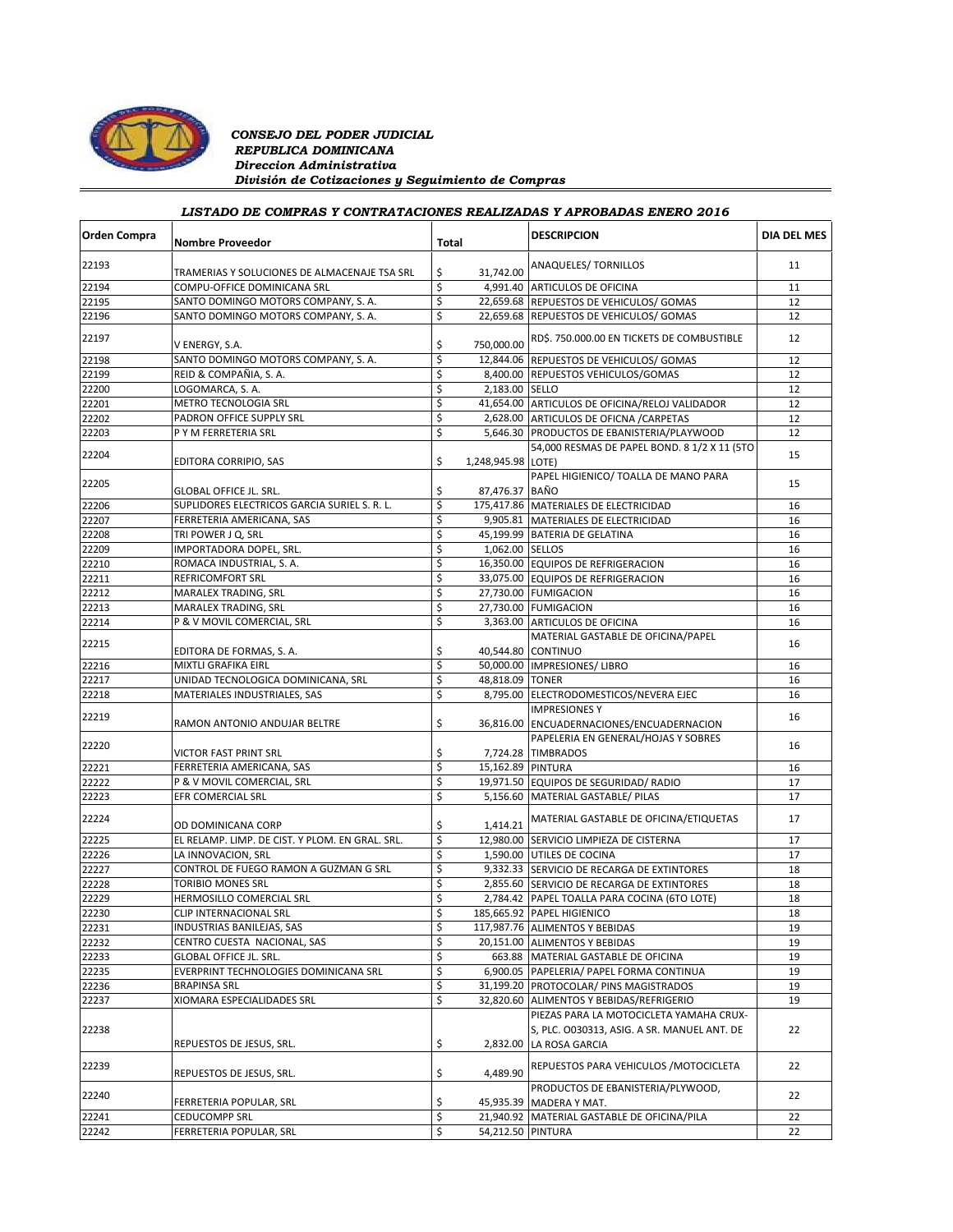

### *CONSEJO DEL PODER JUDICIAL REPUBLICA DOMINICANA Direccion Administrativa División de Cotizaciones y Seguimiento de Compras*

# *LISTADO DE COMPRAS Y CONTRATACIONES REALIZADAS Y APROBADAS ENERO 2016*

| Orden Compra | <b>Nombre Proveedor</b>                         | Total |                    | <b>DESCRIPCION</b>                                                                                       | <b>DIA DEL MES</b> |
|--------------|-------------------------------------------------|-------|--------------------|----------------------------------------------------------------------------------------------------------|--------------------|
| 22193        | TRAMERIAS Y SOLUCIONES DE ALMACENAJE TSA SRL    | \$    | 31,742.00          | ANAQUELES/ TORNILLOS                                                                                     | 11                 |
| 22194        | COMPU-OFFICE DOMINICANA SRL                     | \$    |                    | 4,991.40 ARTICULOS DE OFICINA                                                                            | 11                 |
| 22195        | SANTO DOMINGO MOTORS COMPANY, S. A.             | \$    |                    | 22,659.68 REPUESTOS DE VEHICULOS/ GOMAS                                                                  | 12                 |
| 22196        | SANTO DOMINGO MOTORS COMPANY, S. A.             | \$    |                    | 22,659.68 REPUESTOS DE VEHICULOS/ GOMAS                                                                  | 12                 |
| 22197        | V ENERGY, S.A.                                  | \$    | 750,000.00         | RD\$. 750.000.00 EN TICKETS DE COMBUSTIBLE                                                               | 12                 |
| 22198        | SANTO DOMINGO MOTORS COMPANY, S.A.              | \$    |                    | 12,844.06 REPUESTOS DE VEHICULOS/ GOMAS                                                                  | 12                 |
| 22199        | REID & COMPAÑIA, S. A.                          | \$    |                    | 8,400.00 REPUESTOS VEHICULOS/GOMAS                                                                       | 12                 |
| 22200        | LOGOMARCA, S. A.                                | \$    | 2,183.00 SELLO     |                                                                                                          | 12                 |
| 22201        | METRO TECNOLOGIA SRL                            | \$    |                    | 41,654.00 ARTICULOS DE OFICINA/RELOJ VALIDADOR                                                           | 12                 |
| 22202        | PADRON OFFICE SUPPLY SRL                        | \$    |                    | 2,628.00 ARTICULOS DE OFICNA / CARPETAS                                                                  | 12                 |
| 22203        | P Y M FERRETERIA SRL                            | \$    |                    | 5,646.30 PRODUCTOS DE EBANISTERIA/PLAYWOOD                                                               | 12                 |
|              |                                                 |       |                    | 54,000 RESMAS DE PAPEL BOND. 8 1/2 X 11 (5TO                                                             |                    |
| 22204        | EDITORA CORRIPIO, SAS                           | \$    | 1,248,945.98 LOTE) |                                                                                                          | 15                 |
| 22205        | <b>GLOBAL OFFICE JL. SRL.</b>                   | \$    | 87,476.37 BAÑO     | PAPEL HIGIENICO/ TOALLA DE MANO PARA                                                                     | 15                 |
| 22206        | SUPLIDORES ELECTRICOS GARCIA SURIEL S. R. L.    | \$    |                    | 175,417.86 MATERIALES DE ELECTRICIDAD                                                                    | 16                 |
| 22207        | FERRETERIA AMERICANA, SAS                       | \$    |                    | 9,905.81 MATERIALES DE ELECTRICIDAD                                                                      | 16                 |
| 22208        | TRI POWER J Q, SRL                              | \$    |                    | 45,199.99 BATERIA DE GELATINA                                                                            | 16                 |
| 22209        | IMPORTADORA DOPEL, SRL.                         | \$    | 1,062.00 SELLOS    |                                                                                                          | 16                 |
| 22210        | ROMACA INDUSTRIAL, S. A.                        | \$    |                    | 16,350.00 EQUIPOS DE REFRIGERACION                                                                       | 16                 |
| 22211        | REFRICOMFORT SRL                                | \$    |                    | 33,075.00 EQUIPOS DE REFRIGERACION                                                                       | 16                 |
| 22212        | MARALEX TRADING, SRL                            | \$    |                    | 27,730.00 FUMIGACION                                                                                     | 16                 |
| 22213        | MARALEX TRADING, SRL                            | \$    |                    | 27,730.00 FUMIGACION                                                                                     | 16                 |
| 22214        | P & V MOVIL COMERCIAL, SRL                      | \$    |                    | 3,363.00 ARTICULOS DE OFICINA                                                                            | 16                 |
| 22215        | EDITORA DE FORMAS, S. A.                        | \$    |                    | MATERIAL GASTABLE DE OFICINA/PAPEL<br>40,544.80 CONTINUO                                                 | 16                 |
| 22216        | MIXTLI GRAFIKA EIRL                             | \$    |                    | 50,000.00 IMPRESIONES/ LIBRO                                                                             | 16                 |
| 22217        | UNIDAD TECNOLOGICA DOMINICANA, SRL              | \$    | 48,818.09 TONER    |                                                                                                          | 16                 |
| 22218        | MATERIALES INDUSTRIALES, SAS                    | \$    | 8,795.00           | ELECTRODOMESTICOS/NEVERA EJEC                                                                            | 16                 |
| 22219        | RAMON ANTONIO ANDUJAR BELTRE                    | \$    |                    | <b>IMPRESIONES Y</b><br>36,816.00 ENCUADERNACIONES/ENCUADERNACION                                        | 16                 |
| 22220        |                                                 |       |                    | PAPELERIA EN GENERAL/HOJAS Y SOBRES                                                                      | 16                 |
|              | VICTOR FAST PRINT SRL                           | \$    |                    | 7,724.28 TIMBRADOS                                                                                       |                    |
| 22221        | FERRETERIA AMERICANA, SAS                       | \$    | 15,162.89 PINTURA  |                                                                                                          | 16                 |
| 22222        | P & V MOVIL COMERCIAL, SRL                      | \$    |                    | 19,971.50 EQUIPOS DE SEGURIDAD/ RADIO                                                                    | 17                 |
| 22223        | EFR COMERCIAL SRL                               | \$    |                    | 5,156.60 MATERIAL GASTABLE/ PILAS                                                                        | 17                 |
| 22224        | OD DOMINICANA CORP                              | \$    | 1,414.21           | MATERIAL GASTABLE DE OFICINA/ETIQUETAS                                                                   | 17                 |
| 22225        | EL RELAMP. LIMP. DE CIST. Y PLOM. EN GRAL. SRL. | \$    |                    | 12,980.00 SERVICIO LIMPIEZA DE CISTERNA                                                                  | 17                 |
| 22226        | LA INNOVACION, SRL                              | \$    |                    | 1,590.00 UTILES DE COCINA                                                                                | 17                 |
| 22227        | CONTROL DE FUEGO RAMON A GUZMAN G SRL           | \$    |                    | 9,332.33 SERVICIO DE RECARGA DE EXTINTORES                                                               | 18                 |
| 22228        | <b>TORIBIO MONES SRL</b>                        | \$    |                    | 2,855.60 SERVICIO DE RECARGA DE EXTINTORES                                                               | 18                 |
| 22229        | HERMOSILLO COMERCIAL SRL                        | \$    |                    | 2,784.42 PAPEL TOALLA PARA COCINA (6TO LOTE)                                                             | 18                 |
| 22230        | CLIP INTERNACIONAL SRL                          | \$    |                    | 185,665.92 PAPEL HIGIENICO                                                                               | 18                 |
| 22231        | INDUSTRIAS BANILEJAS, SAS                       | Ş     |                    | 117,987.76 ALIMENTOS Y BEBIDAS                                                                           | 19                 |
| 22232        | CENTRO CUESTA NACIONAL, SAS                     | \$    |                    | 20,151.00 ALIMENTOS Y BEBIDAS                                                                            | 19                 |
| 22233        | GLOBAL OFFICE JL. SRL.                          | \$    |                    | 663.88 MATERIAL GASTABLE DE OFICINA                                                                      | 19                 |
| 22235        | EVERPRINT TECHNOLOGIES DOMINICANA SRL           | \$    |                    | 6,900.05 PAPELERIA/ PAPEL FORMA CONTINUA                                                                 | 19                 |
| 22236        | <b>BRAPINSA SRL</b>                             | \$    |                    | 31,199.20 PROTOCOLAR/ PINS MAGISTRADOS                                                                   | 19                 |
| 22237        | XIOMARA ESPECIALIDADES SRL                      | \$    |                    | 32,820.60 ALIMENTOS Y BEBIDAS/REFRIGERIO                                                                 | 19                 |
| 22238        | REPUESTOS DE JESUS, SRL.                        | \$    | 2,832.00           | PIEZAS PARA LA MOTOCICLETA YAMAHA CRUX-<br>S, PLC. 0030313, ASIG. A SR. MANUEL ANT. DE<br>LA ROSA GARCIA | 22                 |
| 22239        | REPUESTOS DE JESUS, SRL.                        | \$    | 4,489.90           | REPUESTOS PARA VEHICULOS / MOTOCICLETA                                                                   | 22                 |
| 22240        | FERRETERIA POPULAR, SRL                         | \$    |                    | PRODUCTOS DE EBANISTERIA/PLYWOOD,<br>45,935.39 MADERA Y MAT.                                             | 22                 |
| 22241        | <b>CEDUCOMPP SRL</b>                            | \$    |                    | 21,940.92 MATERIAL GASTABLE DE OFICINA/PILA                                                              | 22                 |
| 22242        | FERRETERIA POPULAR, SRL                         | \$    | 54,212.50 PINTURA  |                                                                                                          | 22                 |
|              |                                                 |       |                    |                                                                                                          |                    |